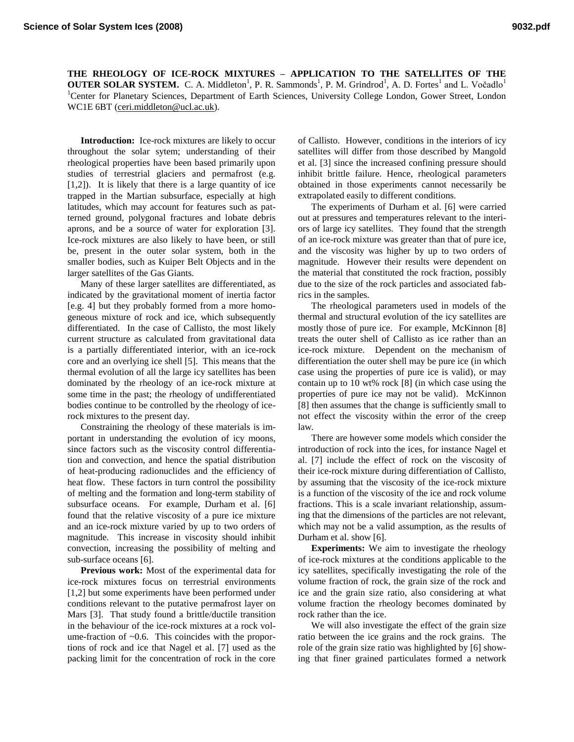**THE RHEOLOGY OF ICE-ROCK MIXTURES – APPLICATION TO THE SATELLITES OF THE OUTER SOLAR SYSTEM.** C. A. Middleton<sup>1</sup>, P. R. Sammonds<sup>1</sup>, P. M. Grindrod<sup>1</sup>, A. D. Fortes<sup>1</sup> and L. Vočadlo<sup>1</sup> <sup>1</sup>Center for Planetary Sciences, Department of Earth Sciences, University College London, Gower Street, London WC1E 6BT (ceri.middleton@ucl.ac.uk).

**Introduction:** Ice-rock mixtures are likely to occur throughout the solar sytem; understanding of their rheological properties have been based primarily upon studies of terrestrial glaciers and permafrost (e.g. [1,2]). It is likely that there is a large quantity of ice trapped in the Martian subsurface, especially at high latitudes, which may account for features such as patterned ground, polygonal fractures and lobate debris aprons, and be a source of water for exploration [3]. Ice-rock mixtures are also likely to have been, or still be, present in the outer solar system, both in the smaller bodies, such as Kuiper Belt Objects and in the larger satellites of the Gas Giants.

Many of these larger satellites are differentiated, as indicated by the gravitational moment of inertia factor [e.g. 4] but they probably formed from a more homogeneous mixture of rock and ice, which subsequently differentiated. In the case of Callisto, the most likely current structure as calculated from gravitational data is a partially differentiated interior, with an ice-rock core and an overlying ice shell [5]. This means that the thermal evolution of all the large icy satellites has been dominated by the rheology of an ice-rock mixture at some time in the past; the rheology of undifferentiated bodies continue to be controlled by the rheology of icerock mixtures to the present day.

Constraining the rheology of these materials is important in understanding the evolution of icy moons, since factors such as the viscosity control differentiation and convection, and hence the spatial distribution of heat-producing radionuclides and the efficiency of heat flow. These factors in turn control the possibility of melting and the formation and long-term stability of subsurface oceans. For example, Durham et al. [6] found that the relative viscosity of a pure ice mixture and an ice-rock mixture varied by up to two orders of magnitude. This increase in viscosity should inhibit convection, increasing the possibility of melting and sub-surface oceans [6].

**Previous work:** Most of the experimental data for ice-rock mixtures focus on terrestrial environments [1,2] but some experiments have been performed under conditions relevant to the putative permafrost layer on Mars [3]. That study found a brittle/ductile transition in the behaviour of the ice-rock mixtures at a rock volume-fraction of  $\sim 0.6$ . This coincides with the proportions of rock and ice that Nagel et al. [7] used as the packing limit for the concentration of rock in the core

of Callisto. However, conditions in the interiors of icy satellites will differ from those described by Mangold et al. [3] since the increased confining pressure should inhibit brittle failure. Hence, rheological parameters obtained in those experiments cannot necessarily be extrapolated easily to different conditions.

The experiments of Durham et al. [6] were carried out at pressures and temperatures relevant to the interiors of large icy satellites. They found that the strength of an ice-rock mixture was greater than that of pure ice, and the viscosity was higher by up to two orders of magnitude. However their results were dependent on the material that constituted the rock fraction, possibly due to the size of the rock particles and associated fabrics in the samples.

The rheological parameters used in models of the thermal and structural evolution of the icy satellites are mostly those of pure ice. For example, McKinnon [8] treats the outer shell of Callisto as ice rather than an ice-rock mixture. Dependent on the mechanism of differentiation the outer shell may be pure ice (in which case using the properties of pure ice is valid), or may contain up to 10 wt% rock [8] (in which case using the properties of pure ice may not be valid). McKinnon [8] then assumes that the change is sufficiently small to not effect the viscosity within the error of the creep law.

There are however some models which consider the introduction of rock into the ices, for instance Nagel et al. [7] include the effect of rock on the viscosity of their ice-rock mixture during differentiation of Callisto, by assuming that the viscosity of the ice-rock mixture is a function of the viscosity of the ice and rock volume fractions. This is a scale invariant relationship, assuming that the dimensions of the particles are not relevant, which may not be a valid assumption, as the results of Durham et al. show [6].

**Experiments:** We aim to investigate the rheology of ice-rock mixtures at the conditions applicable to the icy satellites, specifically investigating the role of the volume fraction of rock, the grain size of the rock and ice and the grain size ratio, also considering at what volume fraction the rheology becomes dominated by rock rather than the ice.

We will also investigate the effect of the grain size ratio between the ice grains and the rock grains. The role of the grain size ratio was highlighted by [6] showing that finer grained particulates formed a network